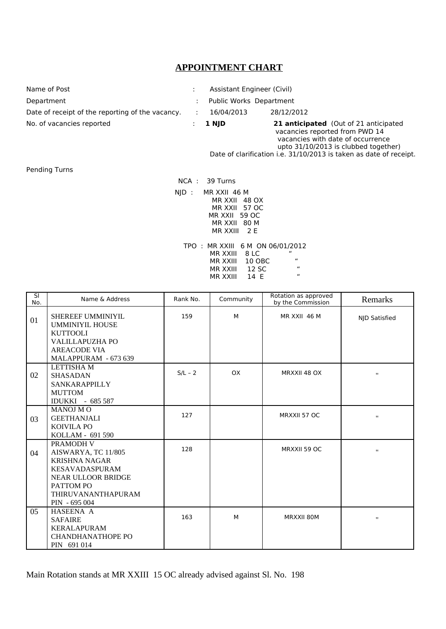## **APPOINTMENT CHART**

| Name of Post                                     | Assistant Engineer (Civil) |                                             |
|--------------------------------------------------|----------------------------|---------------------------------------------|
| Department                                       | Public Works Department    |                                             |
| Date of receipt of the reporting of the vacancy. | 16/04/2013                 | 28/12/2012                                  |
| No. of vacancies reported                        | 1 NJD                      | 21 anticipated (Out of 21 anticipated<br>14 |

 vacancies reported from PWD 14 vacancies with date of occurrence upto 31/10/2013 is clubbed together) Date of clarification i.e. 31/10/2013 is taken as date of receipt.

Pending Turns

 NCA : 39 Turns NJD : MR XXII 46 M MR XXII 48 OX MR XXII 57 OC MR XXII 59 OC MR XXII 80 M MR XXIII 2 E TPO : MR XXIII 6 M ON 06/01/2012<br>MR XXIII 8 LC<br>MR XXIII 10 OBC " MR XXIII 8 LC " MR XXIII 10 OBC "

> MR XXIII 12 SC " MR XXIII 14 E "

| $\overline{\mathsf{SI}}$<br>No. | Name & Address                                                                                                                                              | Rank No.  | Community | Rotation as approved<br>by the Commission | Remarks       |
|---------------------------------|-------------------------------------------------------------------------------------------------------------------------------------------------------------|-----------|-----------|-------------------------------------------|---------------|
| 01                              | SHEREEF UMMINIYIL<br><b>UMMINIYIL HOUSE</b><br><b>KUTTOOLI</b><br><b>VALILLAPUZHA PO</b><br><b>AREACODE VIA</b><br>MALAPPURAM - 673 639                     | 159       | M         | MR XXII 46 M                              | NJD Satisfied |
| 02                              | <b>LETTISHA M</b><br><b>SHASADAN</b><br><b>SANKARAPPILLY</b><br><b>MUTTOM</b><br>IDUKKI - 685 587                                                           | $S/L - 2$ | <b>OX</b> | MRXXII 48 OX                              | П             |
| 03                              | <b>MANOJ MO</b><br><b>GEETHANJALI</b><br><b>KOIVILA PO</b><br>KOLLAM - 691 590                                                                              | 127       |           | MRXXII 57 OC                              | $\mathbf{H}$  |
| 04                              | PRAMODH V<br>AISWARYA, TC 11/805<br><b>KRISHNA NAGAR</b><br><b>KESAVADASPURAM</b><br>NEAR ULLOOR BRIDGE<br>PATTOM PO<br>THIRUVANANTHAPURAM<br>PIN - 695 004 | 128       |           | MRXXII 59 OC                              | π             |
| 05                              | HASEENA A<br><b>SAFAIRE</b><br><b>KERALAPURAM</b><br>CHANDHANATHOPE PO<br>PIN 691 014                                                                       | 163       | M         | MRXXII 80M                                | π             |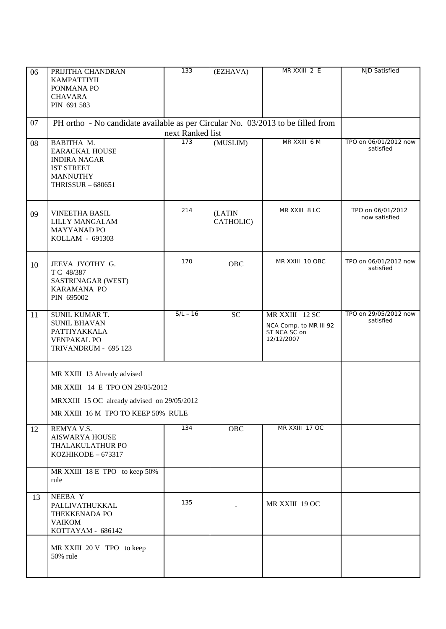| 06 | PRIJITHA CHANDRAN<br>KAMPATTIYIL<br>PONMANA PO                                                                                                      | 133                     | (EZHAVA)            | MR XXIII 2 E                                                           | <b>NJD Satisfied</b>               |
|----|-----------------------------------------------------------------------------------------------------------------------------------------------------|-------------------------|---------------------|------------------------------------------------------------------------|------------------------------------|
|    | <b>CHAVARA</b><br>PIN 691 583                                                                                                                       |                         |                     |                                                                        |                                    |
| 07 | PH ortho - No candidate available as per Circular No. 03/2013 to be filled from                                                                     |                         |                     |                                                                        |                                    |
| 08 | BABITHA M.<br><b>EARACKAL HOUSE</b><br><b>INDIRA NAGAR</b><br><b>IST STREET</b><br><b>MANNUTHY</b><br><b>THRISSUR - 680651</b>                      | next Ranked list<br>173 | (MUSLIM)            | MR XXIII 6 M                                                           | TPO on 06/01/2012 now<br>satisfied |
| 09 | <b>VINEETHA BASIL</b><br>LILLY MANGALAM<br><b>MAYYANAD PO</b><br>KOLLAM - 691303                                                                    | 214                     | (LATIN<br>CATHOLIC) | MR XXIII 8 LC                                                          | TPO on 06/01/2012<br>now satisfied |
| 10 | JEEVA JYOTHY G.<br>TC 48/387<br>SASTRINAGAR (WEST)<br>KARAMANA PO<br>PIN 695002                                                                     | 170                     | OBC                 | MR XXIII 10 OBC                                                        | TPO on 06/01/2012 now<br>satisfied |
| 11 | SUNIL KUMAR T.<br><b>SUNIL BHAVAN</b><br>PATTIYAKKALA<br><b>VENPAKAL PO</b><br>TRIVANDRUM - 695 123                                                 | $S/L - 16$              | <b>SC</b>           | MR XXIII 12 SC<br>NCA Comp. to MR III 92<br>ST NCA SC on<br>12/12/2007 | TPO on 29/05/2012 now<br>satisfied |
|    | MR XXIII 13 Already advised<br>MR XXIII 14 E TPO ON 29/05/2012<br>MRXXIII 15 OC already advised on 29/05/2012<br>MR XXIII 16 M TPO TO KEEP 50% RULE |                         |                     |                                                                        |                                    |
| 12 | REMYA V.S.<br><b>AISWARYA HOUSE</b><br>THALAKULATHUR PO<br>KOZHIKODE - 673317                                                                       | 134                     | OBC                 | MR XXIII 17 OC                                                         |                                    |
|    | MR XXIII 18 E TPO to keep 50%<br>rule                                                                                                               |                         |                     |                                                                        |                                    |
| 13 | NEEBA Y<br>PALLIVATHUKKAL<br>THEKKENADA PO<br><b>VAIKOM</b><br>KOTTAYAM - 686142                                                                    | 135                     |                     | MR XXIII 19 OC                                                         |                                    |
|    | MR XXIII 20 V TPO to keep<br>50% rule                                                                                                               |                         |                     |                                                                        |                                    |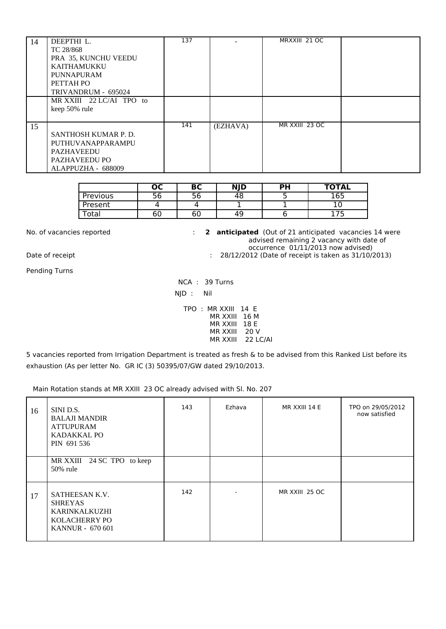| 14 | DEEPTHI L.               | 137 |          | MRXXIII 21 OC  |  |
|----|--------------------------|-----|----------|----------------|--|
|    | TC 28/868                |     |          |                |  |
|    | PRA 35, KUNCHU VEEDU     |     |          |                |  |
|    | KAITHAMUKKU              |     |          |                |  |
|    | PUNNAPURAM               |     |          |                |  |
|    | PETTAH PO                |     |          |                |  |
|    | TRIVANDRUM - 695024      |     |          |                |  |
|    | MR XXIII 22 LC/AI TPO to |     |          |                |  |
|    | keep 50% rule            |     |          |                |  |
|    |                          |     |          |                |  |
| 15 |                          | 141 | (EZHAVA) | MR XXIII 23 OC |  |
|    | SANTHOSH KUMAR P.D.      |     |          |                |  |
|    | PUTHUVANAPPARAMPU        |     |          |                |  |
|    | PAZHAVEEDU               |     |          |                |  |
|    | PAZHAVEEDU PO            |     |          |                |  |
|    | ALAPPUZHA - 688009       |     |          |                |  |

|                   | ос        | De,<br>DL | <b>NJD</b> | <b>PH</b> | <b>TOTAL</b> |
|-------------------|-----------|-----------|------------|-----------|--------------|
| Previous          |           | っと        | 48         | ـ         | 165          |
| Present           |           |           |            |           |              |
| <sup>-</sup> otal | - -<br>ხს | 60        | 49         |           |              |

No. of vacancies reported : **2 anticipated** (Out of 21 anticipated vacancies 14 were advised remaining 2 vacancy with date of occurrence 01/11/2013 now advised)<br>28/12/2012 (Date of receipt is taken as 31/10/2 : 28/12/2012 (Date of receipt is taken as 31/10/2013)

Pending Turns

 NCA : 39 Turns NJD : Nil

TPO : MR XXIII 14 E MR XXIII 16 M MR XXIII 18 E MR XXIII 20 V MR XXIII 22 LC/AI

5 vacancies reported from Irrigation Department is treated as fresh & to be advised from this Ranked List before its exhaustion (As per letter No. GR IC (3) 50395/07/GW dated 29/10/2013.

Main Rotation stands at MR XXIII 23 OC already advised with Sl. No. 207

| 16 | SINI D.S.<br><b>BALAJI MANDIR</b><br><b>ATTUPURAM</b><br>KADAKKAL PO<br>PIN 691 536           | 143 | Ezhava | MR XXIII 14 E  | TPO on 29/05/2012<br>now satisfied |
|----|-----------------------------------------------------------------------------------------------|-----|--------|----------------|------------------------------------|
|    | MR XXIII 24 SC TPO to keep<br>50% rule                                                        |     |        |                |                                    |
| 17 | SATHEESAN K.V.<br><b>SHREYAS</b><br>KARINKALKUZHI<br>KOLACHERRY PO<br><b>KANNUR - 670 601</b> | 142 |        | MR XXIII 25 OC |                                    |